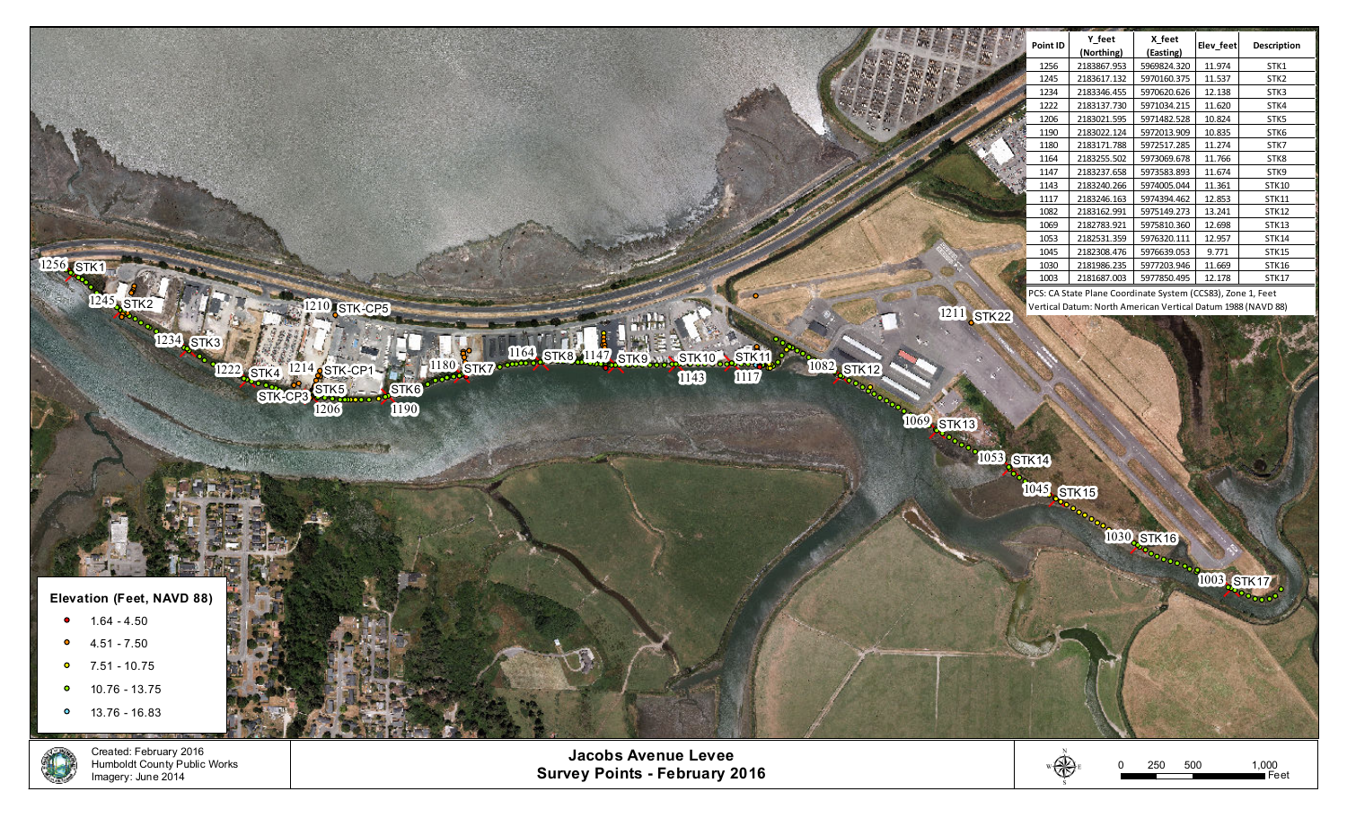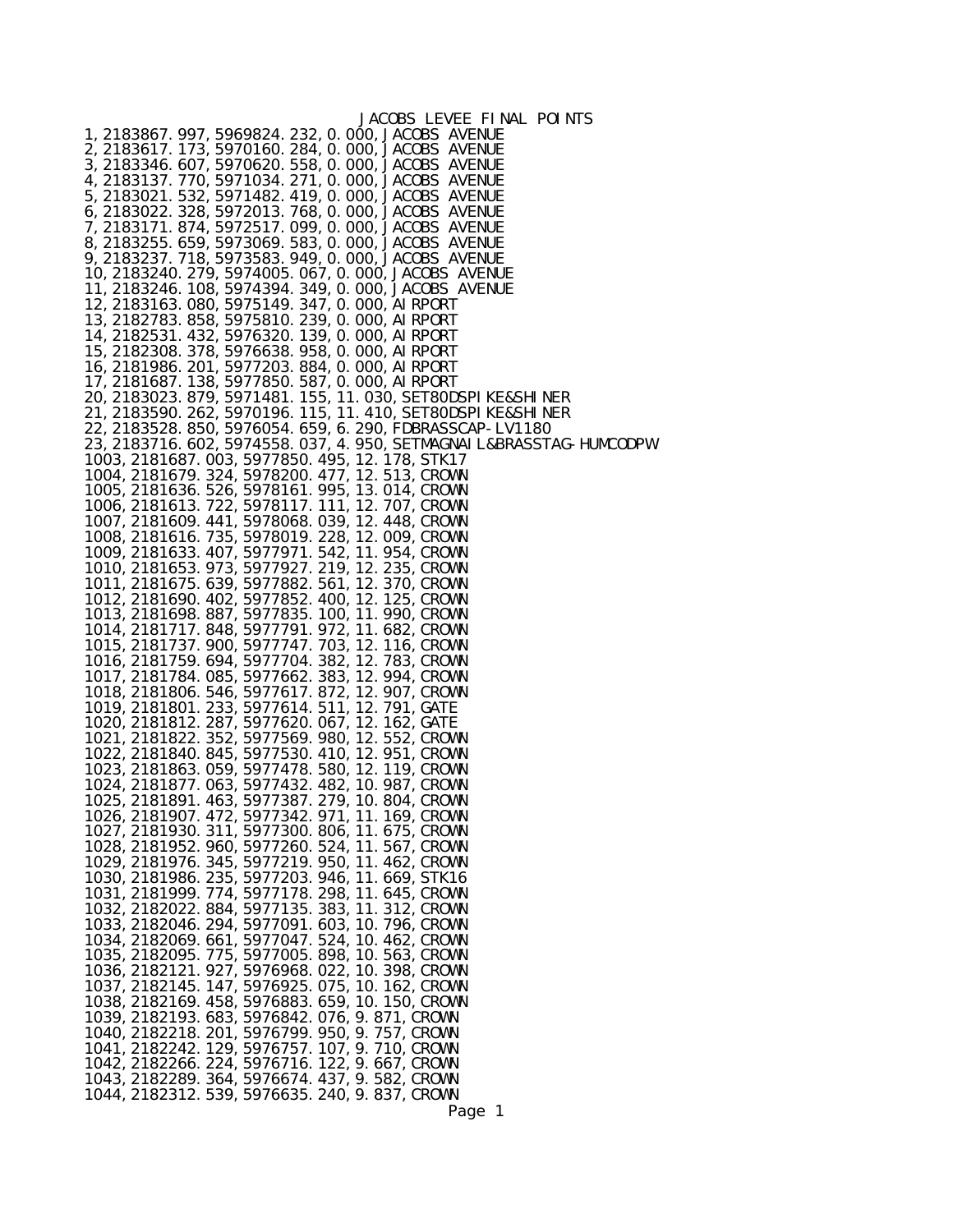| JACOBS LEVEE FINAL POINTS                                                                                         |
|-------------------------------------------------------------------------------------------------------------------|
| 1, 2183867. 997, 5969824. 232, 0. 000, JACOBS AVENUE<br>2, 2183617. 173, 5970160. 284, 0. 000, JACOBS AVENUE      |
| 3, 2183346. 607, 5970620. 558, 0. 000, JACOBS AVENUE                                                              |
| 4, 2183137. 770, 5971034. 271, 0. 000, JACOBS AVENUE                                                              |
| 5, 2183021. 532, 5971482. 419, 0. 000, JACOBS AVENUE                                                              |
| 6, 2183022. 328, 5972013. 768, 0. 000, JACOBS AVENUE                                                              |
| 7, 2183171. 874, 5972517. 099, 0. 000, JACOBS AVENUE<br>8, 2183255. 659, 5973069. 583, 0. 000, JACOBS AVENUE      |
| 9, 2183237. 718, 5973583. 949, 0. 000, JACOBS AVENUE                                                              |
| 10, 2183240. 279, 5974005. 067, 0. 000, JACOBS AVENUE                                                             |
| 11, 2183246. 108, 5974394. 349, 0. 000, JACOBS AVENUE                                                             |
| 12, 2183163. 080, 5975149. 347, 0. 000, AI RPORT<br>13, 2182783. 858, 5975810. 239, 0. 000, AI RPORT              |
| 14, 2182531. 432, 5976320. 139, 0. 000, AI RPORT                                                                  |
| 15, 2182308. 378, 5976638. 958, 0. 000, AI RPORT                                                                  |
| 16, 2181986. 201, 5977203. 884, 0. 000, AI RPORT                                                                  |
| 17, 2181687. 138, 5977850. 587, 0. 000, AI RPORT<br>20, 2183023. 879, 5971481. 155, 11. 030, SET80DSPI KE&SHI NER |
| 21, 2183590. 262, 5970196. 115, 11. 410, SET80DSPI KE&SHI NER                                                     |
| 22, 2183528. 850, 5976054. 659, 6. 290, FDBRASSCAP-LV1180                                                         |
| 23, 2183716. 602, 5974558. 037, 4. 950, SETMAGNAI L&BRASSTAG-HUMCODPW                                             |
| 1003, 2181687. 003, 5977850. 495, 12. 178, STK17                                                                  |
| 1004, 2181679. 324, 5978200. 477, 12. 513, CROWN<br>1005, 2181636. 526, 5978161. 995, 13. 014, CROWN              |
| 1006, 2181613. 722, 5978117. 111, 12. 707, CROWN                                                                  |
| 1007, 2181609. 441, 5978068. 039, 12. 448, CROWN                                                                  |
| 1008, 2181616. 735, 5978019. 228, 12. 009, CROWN                                                                  |
| 1009, 2181633. 407, 5977971. 542, 11. 954, CROWN<br>1010, 2181653. 973, 5977927. 219, 12. 235, CROWN              |
| 1011, 2181675. 639, 5977882. 561, 12. 370, CROWN                                                                  |
| 1012, 2181690. 402, 5977852. 400, 12. 125, CROWN                                                                  |
| 1013, 2181698. 887, 5977835. 100, 11. 990, CROWN                                                                  |
| 1014, 2181717. 848, 5977791. 972, 11. 682, CROWN<br>1015, 2181737. 900, 5977747. 703, 12. 116, CROWN              |
| 1016, 2181759. 694, 5977704. 382, 12. 783, CROWN                                                                  |
| 1017, 2181784. 085, 5977662. 383, 12. 994, CROWN                                                                  |
| 1018, 2181806. 546, 5977617. 872, 12. 907, CROWN                                                                  |
| 1019, 2181801. 233, 5977614. 511, 12. 791, GATE<br>1020, 2181812. 287, 5977620. 067, 12. 162, GATE                |
| 1021, 2181822. 352, 5977569. 980, 12. 552, CROWN                                                                  |
| 1022, 2181840. 845, 5977530. 410, 12. 951, CROWN                                                                  |
| 1023, 2181863. 059, 5977478. 580, 12. 119, CROWN                                                                  |
| 1024, 2181877. 063, 5977432. 482, 10. 987, CROWN<br>1025, 2181891. 463, 5977387. 279, 10. 804, CROWN              |
| 1026, 2181907. 472, 5977342. 971, 11. 169, CROWN                                                                  |
| 1027, 2181930. 311, 5977300. 806, 11. 675, CROWN                                                                  |
| 1028, 2181952. 960, 5977260. 524, 11. 567, CROWN                                                                  |
| 1029, 2181976. 345, 5977219. 950, 11. 462, CROWN<br>1030, 2181986. 235, 5977203. 946, 11. 669, STK16              |
| 1031, 2181999. 774, 5977178. 298, 11. 645, CROWN                                                                  |
| 1032, 2182022. 884, 5977135. 383, 11. 312, CROWN                                                                  |
| 1033, 2182046. 294, 5977091. 603, 10. 796, CROWN                                                                  |
| 1034, 2182069. 661, 5977047. 524, 10. 462, CROWN<br>1035, 2182095. 775, 5977005. 898, 10. 563, CROWN              |
| 1036, 2182121. 927, 5976968. 022, 10. 398, CROWN                                                                  |
| 1037, 2182145. 147, 5976925. 075, 10. 162, CROWN                                                                  |
| 1038, 2182169. 458, 5976883. 659, 10. 150, CROWN                                                                  |
| 1039, 2182193. 683, 5976842. 076, 9. 871, CROWN                                                                   |
| 1040, 2182218. 201, 5976799. 950, 9. 757, CROWN<br>1041, 2182242. 129, 5976757. 107, 9. 710, CROWN                |
| 1042, 2182266. 224, 5976716. 122, 9. 667, CROWN                                                                   |
| 1043, 2182289. 364, 5976674. 437, 9. 582, CROWN                                                                   |
| 1044, 2182312. 539, 5976635. 240, 9. 837, CROWN                                                                   |
| Page 1                                                                                                            |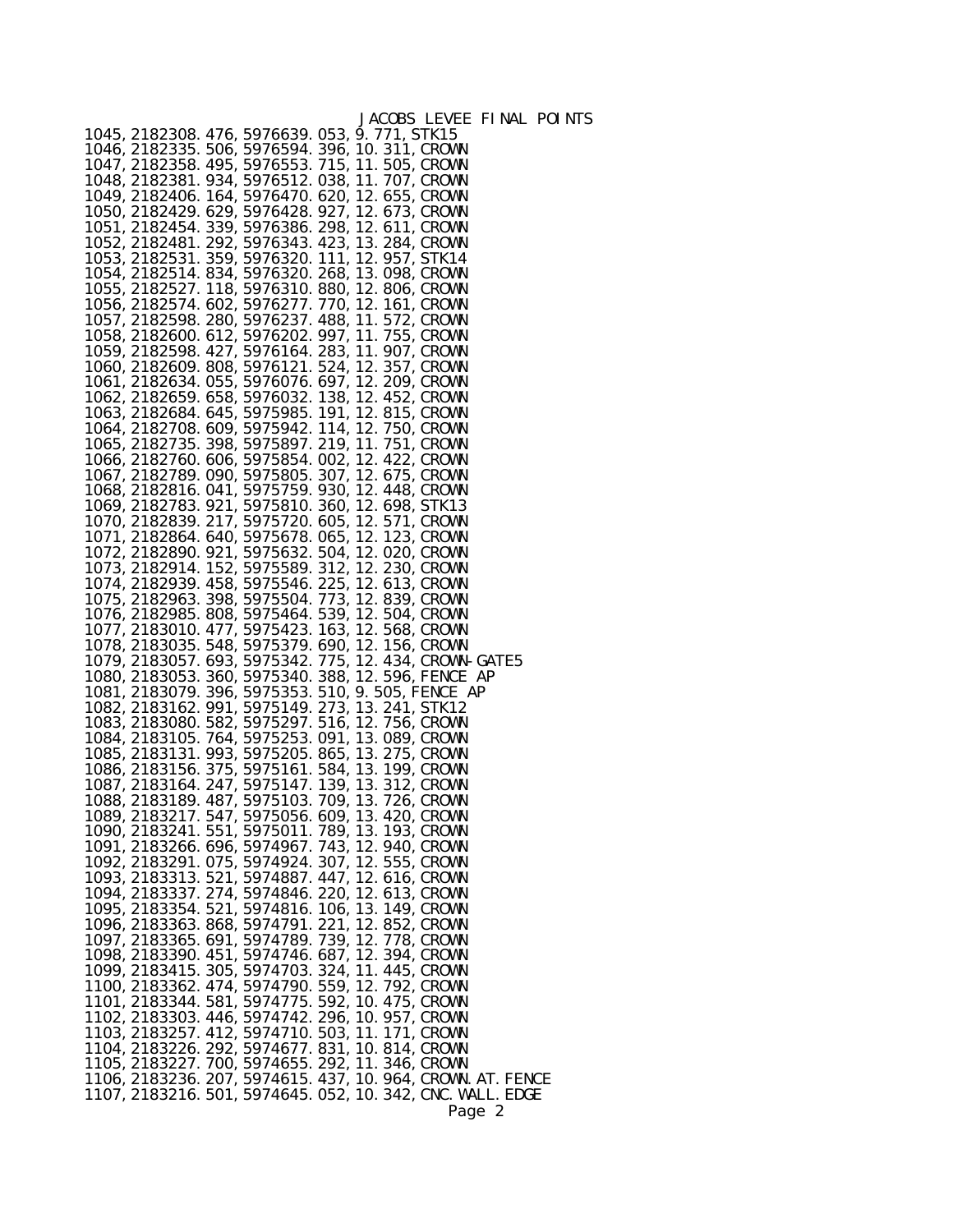| 1045, 2182308. 476, 5976639. 053, 9. 771, STK15<br>1046, 2182335. 506, 5976594. 396, 10. 311, CROWN                                                      |  |        | JACOBS LEVEE FINAL POINTS |
|----------------------------------------------------------------------------------------------------------------------------------------------------------|--|--------|---------------------------|
| 1047, 2182358. 495, 5976553. 715, 11. 505, CROWN<br>1048, 2182381. 934, 5976512. 038, 11. 707, CROWN                                                     |  |        |                           |
| 1049, 2182406. 164, 5976470. 620, 12. 655, CROWN<br>1050, 2182429. 629, 5976428. 927, 12. 673, CROWN                                                     |  |        |                           |
| 1051, 2182454. 339, 5976386. 298, 12. 611, CROWN<br>1052, 2182481. 292, 5976343. 423, 13. 284, CROWN                                                     |  |        |                           |
| 1053, 2182531. 359, 5976320. 111, 12. 957, STK14<br>1054, 2182514. 834, 5976320. 268, 13. 098, CROWN                                                     |  |        |                           |
| 1055, 2182527. 118, 5976310. 880, 12. 806, CROWN<br>1056, 2182574. 602, 5976277. 770, 12. 161, CROWN<br>1057, 2182598. 280, 5976237. 488, 11. 572, CROWN |  |        |                           |
| 1058, 2182600. 612, 5976202. 997, 11. 755, CROWN<br>1059, 2182598. 427, 5976164. 283, 11. 907, CROWN                                                     |  |        |                           |
| 1060, 2182609. 808, 5976121. 524, 12. 357, CROWN<br>1061, 2182634. 055, 5976076. 697, 12. 209, CROWN                                                     |  |        |                           |
| 1062, 2182659. 658, 5976032. 138, 12. 452, CROWN<br>1063, 2182684. 645, 5975985. 191, 12. 815, CROWN                                                     |  |        |                           |
| 1064, 2182708. 609, 5975942. 114, 12. 750, CROWN<br>1065, 2182735. 398, 5975897. 219, 11. 751, CROWN                                                     |  |        |                           |
| 1066, 2182760. 606, 5975854. 002, 12. 422, CROWN<br>1067, 2182789. 090, 5975805. 307, 12. 675, CROWN<br>1068, 2182816. 041, 5975759. 930, 12. 448, CROWN |  |        |                           |
| 1069, 2182783. 921, 5975810. 360, 12. 698, STK13<br>1070, 2182839. 217, 5975720. 605, 12. 571, CROWN                                                     |  |        |                           |
| 1071, 2182864. 640, 5975678. 065, 12. 123, CROWN<br>1072, 2182890. 921, 5975632. 504, 12. 020, CROWN                                                     |  |        |                           |
| 1073, 2182914. 152, 5975589. 312, 12. 230, CROWN<br>1074, 2182939. 458, 5975546. 225, 12. 613, CROWN                                                     |  |        |                           |
| 1075, 2182963. 398, 5975504. 773, 12. 839, CROWN<br>1076, 2182985. 808, 5975464. 539, 12. 504, CROWN<br>1077, 2183010. 477, 5975423. 163, 12. 568, CROWN |  |        |                           |
| 1078, 2183035. 548, 5975379. 690, 12. 156, CROWN<br>1079, 2183057. 693, 5975342. 775, 12. 434, CROWN-GATE5                                               |  |        |                           |
| 1080, 2183053. 360, 5975340. 388, 12. 596, FENCE AP<br>1081, 2183079. 396, 5975353. 510, 9. 505, FENCE AP                                                |  |        |                           |
| 1082, 2183162. 991, 5975149. 273, 13. 241, STK12<br>1083, 2183080. 582, 5975297. 516, 12. 756, CROWN                                                     |  |        |                           |
| 1084, 2183105. 764, 5975253. 091, 13. 089, CROWN<br>1085, 2183131. 993, 5975205. 865, 13. 275, CROWN<br>1086, 2183156. 375, 5975161. 584, 13. 199, CROWN |  |        |                           |
| 1087, 2183164. 247, 5975147. 139, 13. 312, CROWN<br>1088, 2183189. 487, 5975103. 709, 13. 726, CROWN                                                     |  |        |                           |
| 1089, 2183217. 547, 5975056. 609, 13. 420, CROWN<br>1090, 2183241. 551, 5975011. 789, 13. 193, CROWN                                                     |  |        |                           |
| 1091, 2183266. 696, 5974967. 743, 12. 940, CROWN<br>1092, 2183291. 075, 5974924. 307, 12. 555, CROWN<br>1093, 2183313. 521, 5974887. 447, 12. 616, CROWN |  |        |                           |
| 1094, 2183337. 274, 5974846. 220, 12. 613, CROWN<br>1095, 2183354. 521, 5974816. 106, 13. 149, CROWN                                                     |  |        |                           |
| 1096, 2183363. 868, 5974791. 221, 12. 852, CROWN<br>1097, 2183365. 691, 5974789. 739, 12. 778, CROWN<br>1098, 2183390. 451, 5974746. 687, 12. 394, CROWN |  |        |                           |
| 1099, 2183415. 305, 5974703. 324, 11. 445, CROWN                                                                                                         |  |        |                           |
| 1100, 2183362. 474, 5974790. 559, 12. 792, CROWN<br>1101, 2183344. 581, 5974775. 592, 10. 475, CROWN<br>1102, 2183303. 446, 5974742. 296, 10. 957, CROWN |  |        |                           |
| 1103, 2183257. 412, 5974710. 503, 11. 171, CROWN<br>1104, 2183226. 292, 5974677. 831, 10. 814, CROWN                                                     |  |        |                           |
| 1105, 2183227. 700, 5974655. 292, 11. 346, CROWN<br>1106, 2183236. 207, 5974615. 437, 10. 964, CROWN. AT. FENCE                                          |  |        |                           |
| 1107, 2183216. 501, 5974645. 052, 10. 342, CNC. WALL. EDGE                                                                                               |  | Page 2 |                           |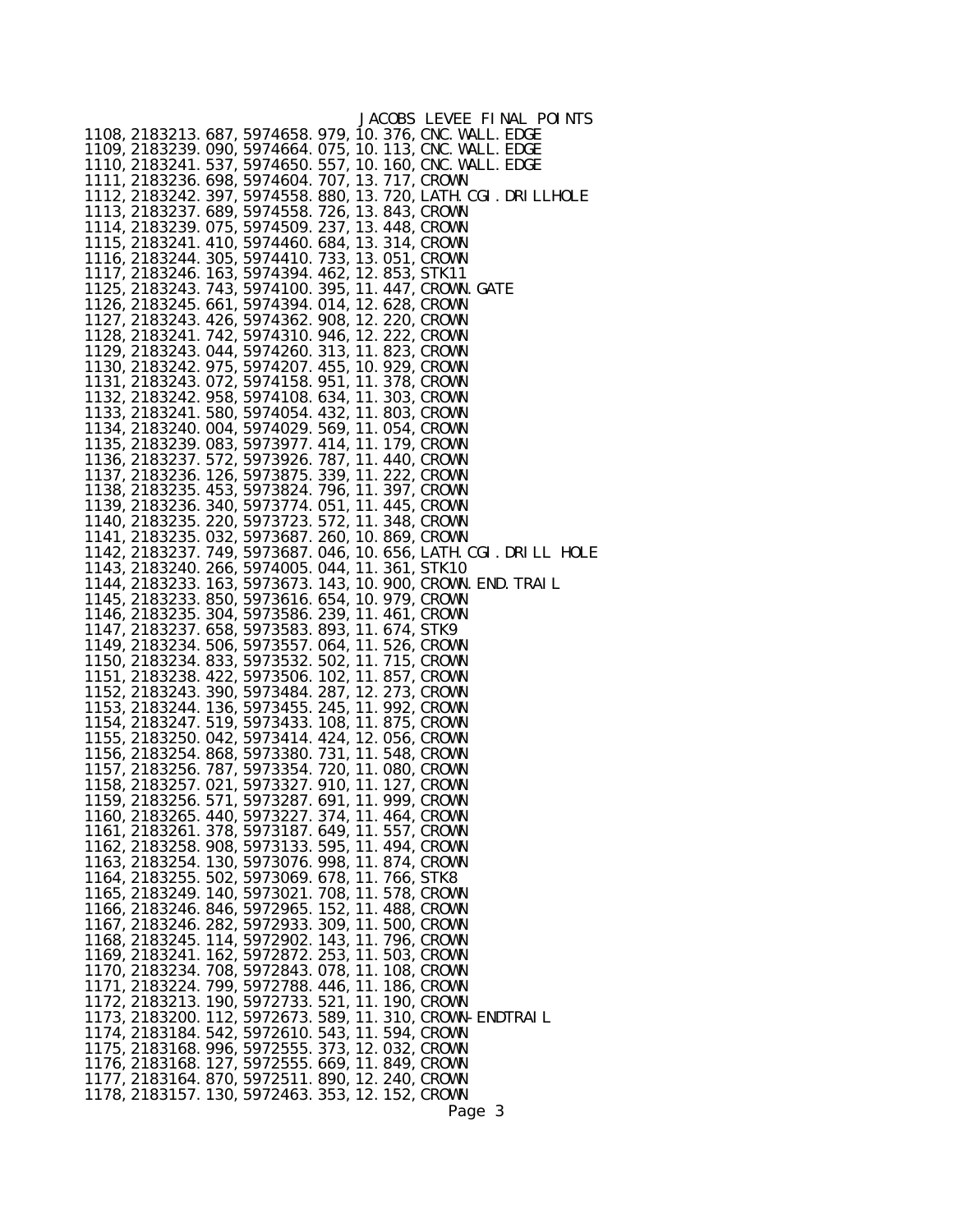|                                                                                                      | JACOBS LEVEE FINAL POINTS                                        |
|------------------------------------------------------------------------------------------------------|------------------------------------------------------------------|
| 1108, 2183213. 687, 5974658. 979, 10. 376, CNC. WALL. EDGE                                           |                                                                  |
| 1109, 2183239. 090, 5974664. 075, 10. 113, CNC. WALL. EDGE                                           |                                                                  |
| 1110, 2183241. 537, 5974650. 557, 10. 160, CNC. WALL. EDGE                                           |                                                                  |
| 1111, 2183236. 698, 5974604. 707, 13. 717, CROWN                                                     |                                                                  |
| 1113, 2183237. 689, 5974558. 726, 13. 843, CROWN                                                     | 1112, 2183242. 397, 5974558. 880, 13. 720, LATH. CGI. DRI LLHOLE |
| 1114, 2183239. 075, 5974509. 237, 13. 448, CROWN                                                     |                                                                  |
| 1115, 2183241. 410, 5974460. 684, 13. 314, CROWN                                                     |                                                                  |
| 1116, 2183244. 305, 5974410. 733, 13. 051, CROWN                                                     |                                                                  |
| 1117, 2183246. 163, 5974394. 462, 12. 853, STK11                                                     |                                                                  |
| 1125, 2183243. 743, 5974100. 395, 11. 447, CROWN. GATE                                               |                                                                  |
| 1126, 2183245. 661, 5974394. 014, 12. 628, CROWN                                                     |                                                                  |
| 1127, 2183243. 426, 5974362. 908, 12. 220, CROWN                                                     |                                                                  |
| 1128, 2183241. 742, 5974310. 946, 12. 222, CROWN                                                     |                                                                  |
| 1129, 2183243. 044, 5974260. 313, 11. 823, CROWN                                                     |                                                                  |
| 1130, 2183242. 975, 5974207. 455, 10. 929, CROWN                                                     |                                                                  |
| 1131, 2183243. 072, 5974158. 951, 11. 378, CROWN                                                     |                                                                  |
| 1132, 2183242. 958, 5974108. 634, 11. 303, CROWN<br>1133, 2183241. 580, 5974054. 432, 11. 803, CROWN |                                                                  |
| 1134, 2183240. 004, 5974029. 569, 11. 054, CROWN                                                     |                                                                  |
| 1135, 2183239. 083, 5973977. 414, 11. 179, CROWN                                                     |                                                                  |
| 1136, 2183237. 572, 5973926. 787, 11. 440, CROWN                                                     |                                                                  |
| 1137, 2183236. 126, 5973875. 339, 11. 222, CROWN                                                     |                                                                  |
| 1138, 2183235. 453, 5973824. 796, 11. 397, CROWN                                                     |                                                                  |
| 1139, 2183236. 340, 5973774. 051, 11. 445, CROWN                                                     |                                                                  |
| 1140, 2183235. 220, 5973723. 572, 11. 348, CROWN                                                     |                                                                  |
| 1141, 2183235. 032, 5973687. 260, 10. 869, CROWN                                                     |                                                                  |
|                                                                                                      | 1142, 2183237. 749, 5973687. 046, 10. 656, LATH. CGI. DRILL HOLE |
| 1143, 2183240. 266, 5974005. 044, 11. 361, STK10                                                     |                                                                  |
| 1144, 2183233. 163, 5973673. 143, 10. 900, CROWN. END. TRAIL                                         |                                                                  |
| 1145, 2183233. 850, 5973616. 654, 10. 979, CROWN<br>1146, 2183235. 304, 5973586. 239, 11. 461, CROWN |                                                                  |
| 1147, 2183237. 658, 5973583. 893, 11. 674, STK9                                                      |                                                                  |
| 1149, 2183234. 506, 5973557. 064, 11. 526, CROWN                                                     |                                                                  |
| 1150, 2183234. 833, 5973532. 502, 11. 715, CROWN                                                     |                                                                  |
| 1151, 2183238. 422, 5973506. 102, 11. 857, CROWN                                                     |                                                                  |
| 1152, 2183243. 390, 5973484. 287, 12. 273, CROWN                                                     |                                                                  |
| 1153, 2183244. 136, 5973455. 245, 11. 992, CROWN                                                     |                                                                  |
| 1154, 2183247. 519, 5973433. 108, 11. 875, CROWN                                                     |                                                                  |
| 1155, 2183250. 042, 5973414. 424, 12. 056, CROWN                                                     |                                                                  |
| 1156, 2183254. 868, 5973380. 731, 11. 548, CROWN<br>1157, 2183256. 787, 5973354. 720, 11. 080, CROWN |                                                                  |
| 1158, 2183257. 021, 5973327. 910, 11. 127, CROWN                                                     |                                                                  |
| 1159, 2183256, 571, 5973287, 691, 11, 999, CROWN                                                     |                                                                  |
| 1160, 2183265. 440, 5973227. 374, 11. 464, CROWN                                                     |                                                                  |
| 1161, 2183261. 378, 5973187. 649, 11. 557, CROWN                                                     |                                                                  |
| 1162, 2183258. 908, 5973133. 595, 11. 494, CROWN                                                     |                                                                  |
| 1163, 2183254. 130, 5973076. 998, 11. 874, CROWN                                                     |                                                                  |
| 1164, 2183255. 502, 5973069. 678, 11. 766, STK8                                                      |                                                                  |
| 1165, 2183249. 140, 5973021. 708, 11. 578, CROWN                                                     |                                                                  |
| 1166, 2183246. 846, 5972965. 152, 11. 488, CROWN                                                     |                                                                  |
| 1167, 2183246. 282, 5972933. 309, 11. 500, CROWN<br>1168, 2183245. 114, 5972902. 143, 11. 796, CROWN |                                                                  |
| 1169, 2183241. 162, 5972872. 253, 11. 503, CROWN                                                     |                                                                  |
| 1170, 2183234. 708, 5972843. 078, 11. 108, CROWN                                                     |                                                                  |
| 1171, 2183224. 799, 5972788. 446, 11. 186, CROWN                                                     |                                                                  |
| 1172, 2183213. 190, 5972733. 521, 11. 190, CROWN                                                     |                                                                  |
| 1173, 2183200. 112, 5972673. 589, 11. 310, CROWN-ENDTRAIL                                            |                                                                  |
| 1174, 2183184. 542, 5972610. 543, 11. 594, CROWN                                                     |                                                                  |
| 1175, 2183168. 996, 5972555. 373, 12. 032, CROWN                                                     |                                                                  |
| 1176, 2183168. 127, 5972555. 669, 11. 849, CROWN                                                     |                                                                  |
| 1177, 2183164. 870, 5972511. 890, 12. 240, CROWN<br>1178, 2183157. 130, 5972463. 353, 12. 152, CROWN |                                                                  |
|                                                                                                      | Page 3                                                           |
|                                                                                                      |                                                                  |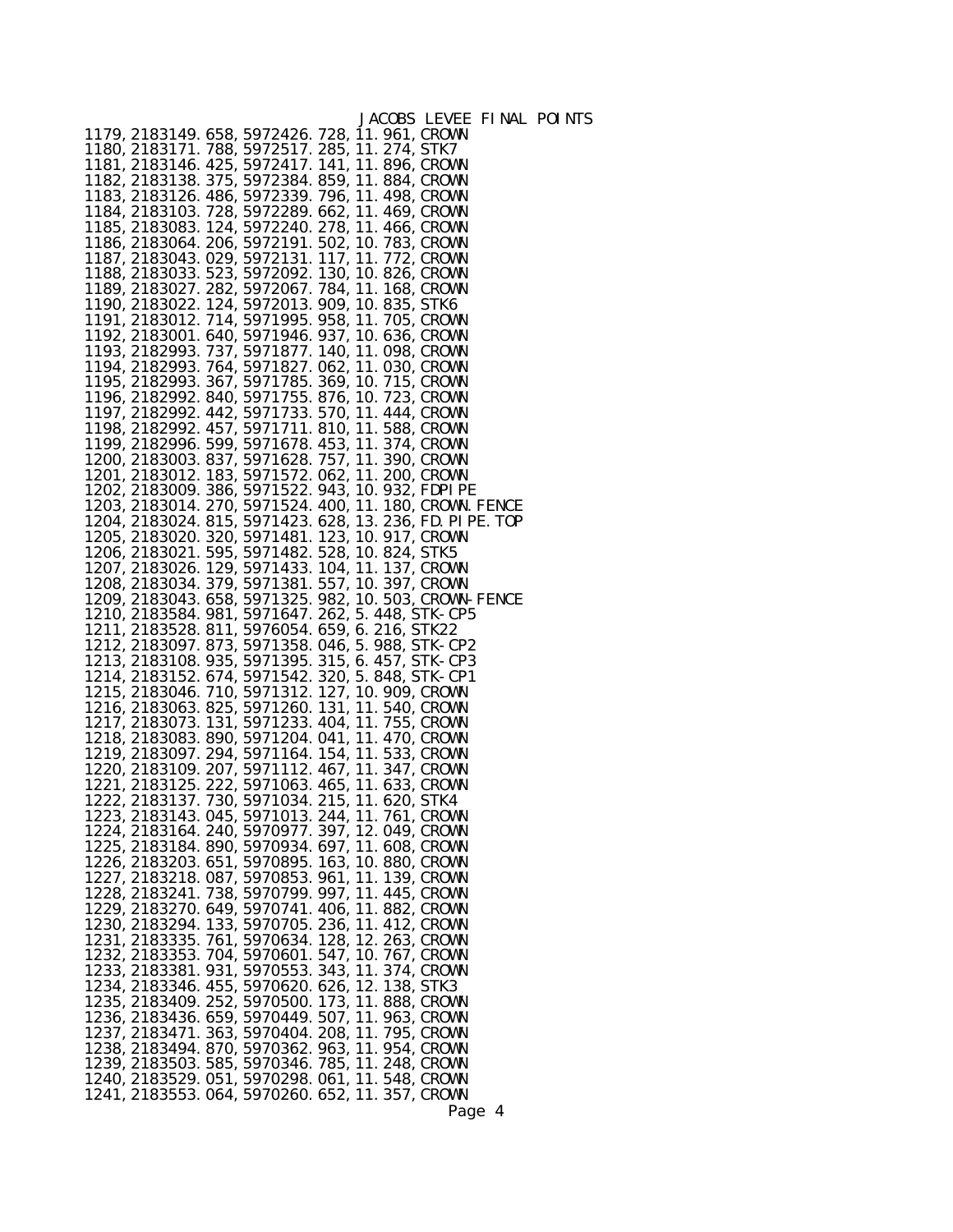|                                                  |                                                                                                        |  | JACOBS LEVEE FINAL                                                                                                   |  |
|--------------------------------------------------|--------------------------------------------------------------------------------------------------------|--|----------------------------------------------------------------------------------------------------------------------|--|
|                                                  | 1179, 2183149. 658, 5972426. 728, 11. 961, CROWN                                                       |  |                                                                                                                      |  |
|                                                  | 1180, 2183171. 788, 5972517. 285, 11. 274, STK7                                                        |  |                                                                                                                      |  |
|                                                  | 1181, 2183146. 425, 5972417. 141, 11. 896, CROWN                                                       |  |                                                                                                                      |  |
|                                                  | 1182, 2183138. 375, 5972384. 859, 11. 884, CROWN                                                       |  |                                                                                                                      |  |
|                                                  | 1183, 2183126. 486, 5972339. 796, 11. 498, CROWN                                                       |  |                                                                                                                      |  |
|                                                  | 1184, 2183103. 728, 5972289. 662, 11. 469, CROWN                                                       |  |                                                                                                                      |  |
|                                                  | 1185, 2183083. 124, 5972240. 278, 11. 466, CROWN                                                       |  |                                                                                                                      |  |
|                                                  | 1186, 2183064. 206, 5972191. 502, 10. 783, CROWN                                                       |  |                                                                                                                      |  |
|                                                  | 1187, 2183043. 029, 5972131. 117, 11. 772, CROWN                                                       |  |                                                                                                                      |  |
|                                                  | 1188, 2183033. 523, 5972092. 130, 10. 826, CROWN                                                       |  |                                                                                                                      |  |
|                                                  | 1189, 2183027. 282, 5972067. 784, 11. 168, CROWN                                                       |  |                                                                                                                      |  |
|                                                  | 1190, 2183022. 124, 5972013. 909, 10. 835, STK6                                                        |  |                                                                                                                      |  |
|                                                  |                                                                                                        |  |                                                                                                                      |  |
|                                                  | 1191, 2183012. 714, 5971995. 958, 11. 705, CROWN<br>1192, 2183001. 640, 5971946. 937, 10. 636, CROWN   |  |                                                                                                                      |  |
|                                                  |                                                                                                        |  |                                                                                                                      |  |
|                                                  | 1193, 2182993. 737, 5971877. 140, 11. 098, CROWN                                                       |  |                                                                                                                      |  |
|                                                  | 1194, 2182993. 764, 5971827. 062, 11. 030, CROWN<br>1195, 2182993. 367, 5971785. 369, 10. 715, CROWN   |  |                                                                                                                      |  |
|                                                  |                                                                                                        |  |                                                                                                                      |  |
|                                                  | 1196, 2182992. 840, 5971755. 876, 10. 723, CROWN                                                       |  |                                                                                                                      |  |
|                                                  | 1197, 2182992. 442, 5971733. 570, 11. 444, CROWN<br>1198, 2182992. 457, 5971711. 810, 11. 588, CROWN   |  |                                                                                                                      |  |
|                                                  |                                                                                                        |  |                                                                                                                      |  |
|                                                  | 1199, 2182996. 599, 5971678. 453, 11. 374, CROWN                                                       |  |                                                                                                                      |  |
|                                                  |                                                                                                        |  |                                                                                                                      |  |
|                                                  | 1200, 2183003. 837, 5971628. 757, 11. 390, CROWN<br>1201, 2183012. 183, 5971572. 062, 11. 200, CROWN   |  |                                                                                                                      |  |
|                                                  | 1202, 2183009. 386, 5971522. 943, 10. 932, FDPI PE                                                     |  |                                                                                                                      |  |
|                                                  |                                                                                                        |  |                                                                                                                      |  |
|                                                  |                                                                                                        |  | 1203, 2183014. 270, 5971524. 400, 11. 180, CROWN. FENCE<br>1204, 2183024. 815, 5971423. 628, 13. 236, FD. PI PE. TOP |  |
|                                                  |                                                                                                        |  |                                                                                                                      |  |
|                                                  | 1205, 2183020. 320, 5971481. 123, 10. 917, CROWN                                                       |  |                                                                                                                      |  |
|                                                  | 1206, 2183021. 595, 5971482. 528, 10. 824, STK5<br>1207, 2183026. 129, 5971433. 104, 11. 137, CROWN    |  |                                                                                                                      |  |
|                                                  |                                                                                                        |  |                                                                                                                      |  |
| 1208, 2183034. 379, 5971381. 557, 10. 397, CROWN |                                                                                                        |  |                                                                                                                      |  |
|                                                  |                                                                                                        |  |                                                                                                                      |  |
|                                                  |                                                                                                        |  |                                                                                                                      |  |
|                                                  |                                                                                                        |  | 1209, 2183043. 658, 5971325. 982, 10. 503, CROWN-FENCE<br>1210, 2183584. 981, 5971647. 262, 5. 448, STK-CP5          |  |
|                                                  | 1211, 2183528. 811, 5976054. 659, 6. 216, STK22                                                        |  |                                                                                                                      |  |
|                                                  |                                                                                                        |  |                                                                                                                      |  |
|                                                  | 1212, 2183097. 873, 5971358. 046, 5. 988, STK-CP2<br>1213, 2183108. 935, 5971395. 315, 6. 457, STK-CP3 |  |                                                                                                                      |  |
|                                                  |                                                                                                        |  |                                                                                                                      |  |
|                                                  | 1214, 2183152. 674, 5971542. 320, 5. 848, STK-CP1                                                      |  |                                                                                                                      |  |
|                                                  |                                                                                                        |  |                                                                                                                      |  |
|                                                  | 1215, 2183046. 710, 5971312. 127, 10. 909, CROWN<br>1216, 2183063. 825, 5971260. 131, 11. 540, CROWN   |  |                                                                                                                      |  |
|                                                  | 1217, 2183073. 131, 5971233. 404, 11. 755, CROWN                                                       |  |                                                                                                                      |  |
|                                                  |                                                                                                        |  |                                                                                                                      |  |
|                                                  | 1218, 2183083. 890, 5971204. 041, 11. 470, CROWN<br>1219, 2183097. 294, 5971164. 154, 11. 533, CROWN   |  |                                                                                                                      |  |
|                                                  | 1220, 2183109. 207, 5971112. 467, 11. 347, CROWN                                                       |  |                                                                                                                      |  |
|                                                  | 1221, 2183125. 222, 5971063. 465, 11. 633, CROWN                                                       |  |                                                                                                                      |  |
|                                                  | 1222, 2183137. 730, 5971034. 215, 11. 620, STK4                                                        |  |                                                                                                                      |  |
|                                                  | 1223, 2183143. 045, 5971013. 244, 11. 761, CROWN                                                       |  |                                                                                                                      |  |
|                                                  | 1224, 2183164. 240, 5970977. 397, 12. 049, CROWN                                                       |  |                                                                                                                      |  |
|                                                  | 1225, 2183184. 890, 5970934. 697, 11. 608, CROWN                                                       |  |                                                                                                                      |  |
|                                                  | 1226, 2183203. 651, 5970895. 163, 10. 880, CROWN                                                       |  |                                                                                                                      |  |
|                                                  | 1227, 2183218. 087, 5970853. 961, 11. 139, CROWN                                                       |  |                                                                                                                      |  |
|                                                  | 1228, 2183241. 738, 5970799. 997, 11. 445, CROWN                                                       |  |                                                                                                                      |  |
|                                                  | 1229, 2183270. 649, 5970741. 406, 11. 882, CROWN                                                       |  |                                                                                                                      |  |
|                                                  | 1230, 2183294. 133, 5970705. 236, 11. 412, CROWN                                                       |  |                                                                                                                      |  |
|                                                  | 1231, 2183335. 761, 5970634. 128, 12. 263, CROWN                                                       |  |                                                                                                                      |  |
|                                                  |                                                                                                        |  |                                                                                                                      |  |
|                                                  | 1232, 2183353. 704, 5970601. 547, 10. 767, CROWN                                                       |  |                                                                                                                      |  |
|                                                  | 1233, 2183381. 931, 5970553. 343, 11. 374, CROWN                                                       |  |                                                                                                                      |  |
|                                                  | 1234, 2183346. 455, 5970620. 626, 12. 138, STK3                                                        |  |                                                                                                                      |  |
|                                                  | 1235, 2183409. 252, 5970500. 173, 11. 888, CROWN                                                       |  |                                                                                                                      |  |
|                                                  | 1236, 2183436. 659, 5970449. 507, 11. 963, CROWN                                                       |  |                                                                                                                      |  |
|                                                  | 1237, 2183471. 363, 5970404. 208, 11. 795, CROWN                                                       |  |                                                                                                                      |  |
|                                                  | 1238, 2183494. 870, 5970362. 963, 11. 954, CROWN                                                       |  |                                                                                                                      |  |
|                                                  | 1239, 2183503. 585, 5970346. 785, 11. 248, CROWN                                                       |  |                                                                                                                      |  |
|                                                  | 1240, 2183529. 051, 5970298. 061, 11. 548, CROWN<br>1241, 2183553. 064, 5970260. 652, 11. 357, CROWN   |  |                                                                                                                      |  |

POI NTS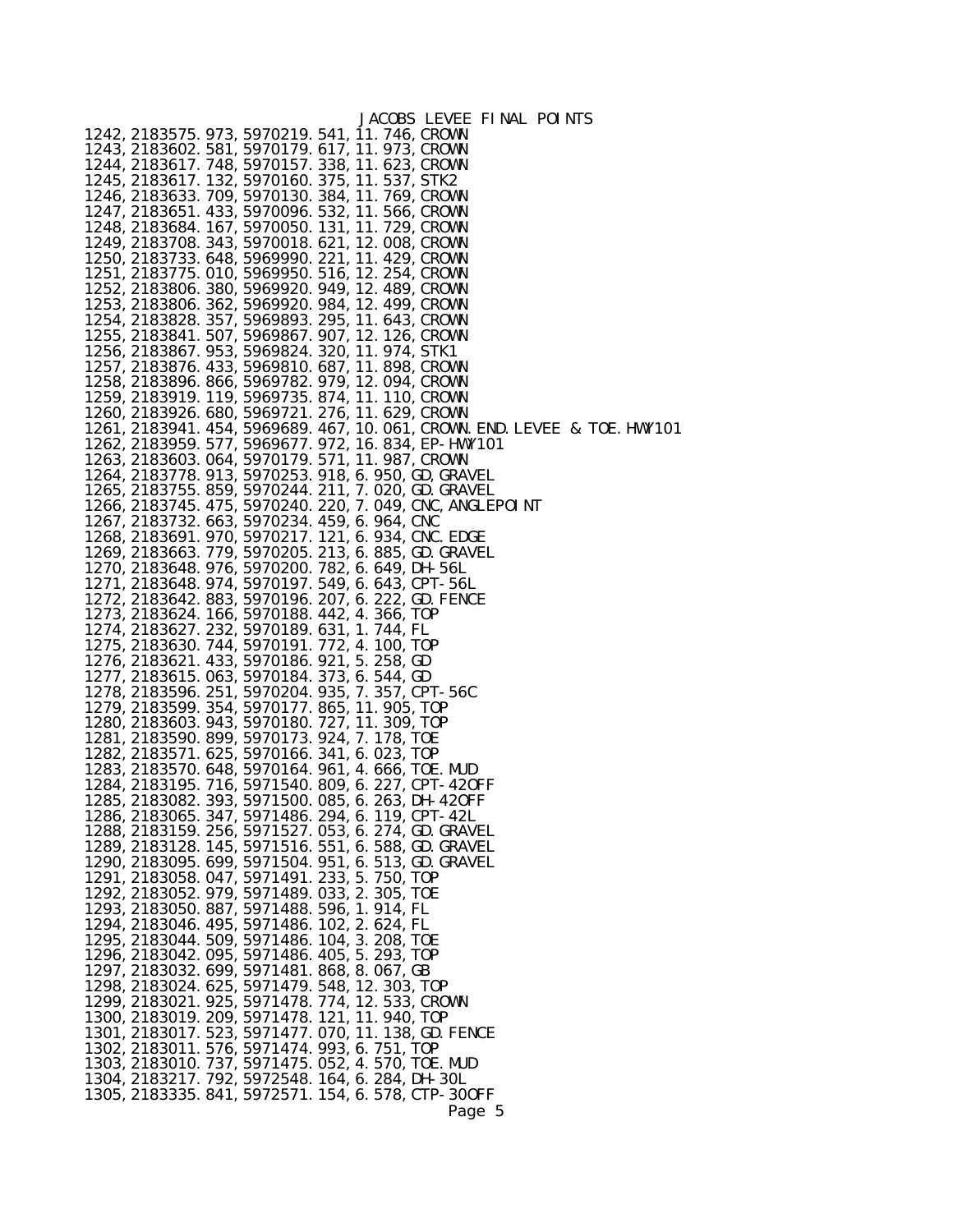|                                                                                                      | JACOBS LEVEE FINAL POINTS                                                  |
|------------------------------------------------------------------------------------------------------|----------------------------------------------------------------------------|
| 1242, 2183575. 973, 5970219. 541, 11. 746, CROWN                                                     |                                                                            |
| 1243, 2183602. 581, 5970179. 617, 11. 973, CROWN                                                     |                                                                            |
| 1244, 2183617. 748, 5970157. 338, 11. 623, CROWN                                                     |                                                                            |
| 1245, 2183617. 132, 5970160. 375, 11. 537, STK2                                                      |                                                                            |
| 1246, 2183633. 709, 5970130. 384, 11. 769, CROWN                                                     |                                                                            |
| 1247, 2183651. 433, 5970096. 532, 11. 566, CROWN                                                     |                                                                            |
| 1248, 2183684. 167, 5970050. 131, 11. 729, CROWN                                                     |                                                                            |
| 1249, 2183708. 343, 5970018. 621, 12. 008, CROWN                                                     |                                                                            |
| 1250, 2183733. 648, 5969990. 221, 11. 429, CROWN                                                     |                                                                            |
| 1251, 2183775. 010, 5969950. 516, 12. 254, CROWN                                                     |                                                                            |
| 1252, 2183806. 380, 5969920. 949, 12. 489, CROWN<br>1253, 2183806. 362, 5969920. 984, 12. 499, CROWN |                                                                            |
| 1254, 2183828. 357, 5969893. 295, 11. 643, CROWN                                                     |                                                                            |
| 1255, 2183841. 507, 5969867. 907, 12. 126, CROWN                                                     |                                                                            |
| 1256, 2183867. 953, 5969824. 320, 11. 974, STK1                                                      |                                                                            |
| 1257, 2183876. 433, 5969810. 687, 11. 898, CROWN                                                     |                                                                            |
| 1258, 2183896. 866, 5969782. 979, 12. 094, CROWN                                                     |                                                                            |
| 1259, 2183919. 119, 5969735. 874, 11. 110, CROWN                                                     |                                                                            |
| 1260, 2183926. 680, 5969721. 276, 11. 629, CROWN                                                     |                                                                            |
|                                                                                                      | 1261, 2183941. 454, 5969689. 467, 10. 061, CROWN. END. LEVEE & TOE. HWY101 |
| 1262, 2183959. 577, 5969677. 972, 16. 834, EP-HWY101                                                 |                                                                            |
| 1263, 2183603. 064, 5970179. 571, 11. 987, CROWN                                                     |                                                                            |
| 1264, 2183778. 913, 5970253. 918, 6. 950, GD, GRAVEL                                                 |                                                                            |
| 1265, 2183755. 859, 5970244. 211, 7. 020, GD. GRAVEL                                                 |                                                                            |
|                                                                                                      | 1266, 2183745. 475, 5970240. 220, 7. 049, CNC, ANGLEPOI NT                 |
| 1267, 2183732. 663, 5970234. 459, 6. 964, CNC                                                        |                                                                            |
| 1268, 2183691. 970, 5970217. 121, 6. 934, CNC. EDGE                                                  |                                                                            |
| 1269, 2183663. 779, 5970205. 213, 6. 885, GD. GRAVEL                                                 |                                                                            |
| 1270, 2183648. 976, 5970200. 782, 6. 649, DH-56L                                                     |                                                                            |
| 1271, 2183648. 974, 5970197. 549, 6. 643, CPT-56L                                                    |                                                                            |
| 1272, 2183642. 883, 5970196. 207, 6. 222, GD. FENCE                                                  |                                                                            |
| 1273, 2183624. 166, 5970188. 442, 4. 366, TOP                                                        |                                                                            |
| 1274, 2183627. 232, 5970189. 631, 1. 744, FL                                                         |                                                                            |
| 1275, 2183630. 744, 5970191. 772, 4. 100, TOP                                                        |                                                                            |
| 1276, 2183621. 433, 5970186. 921, 5. 258, GD                                                         |                                                                            |
| 1277, 2183615. 063, 5970184. 373, 6. 544, GD<br>1278, 2183596. 251, 5970204. 935, 7. 357, CPT-56C    |                                                                            |
| 1279, 2183599. 354, 5970177. 865, 11. 905, TOP                                                       |                                                                            |
| 1280, 2183603. 943, 5970180. 727, 11. 309, TOP                                                       |                                                                            |
| 1281, 2183590. 899, 5970173. 924, 7. 178, TOE                                                        |                                                                            |
| 1282, 2183571. 625, 5970166. 341, 6. 023, TOP                                                        |                                                                            |
| 1283, 2183570. 648, 5970164. 961, 4. 666, TOE. MUD                                                   |                                                                            |
| 1284, 2183195. 716, 5971540. 809, 6. 227, CPT-420FF                                                  |                                                                            |
| 1285, 2183082. 393, 5971500. 085, 6. 263, DH-420FF                                                   |                                                                            |
| 1286, 2183065. 347, 5971486. 294, 6. 119, CPT-42L                                                    |                                                                            |
| 1288, 2183159. 256, 5971527. 053, 6. 274, GD. GRAVEL                                                 |                                                                            |
| 1289, 2183128. 145, 5971516. 551, 6. 588, GD. GRAVEL                                                 |                                                                            |
| 1290, 2183095. 699, 5971504. 951, 6. 513, GD. GRAVEL                                                 |                                                                            |
| 1291, 2183058. 047, 5971491. 233, 5. 750, TOP                                                        |                                                                            |
| 1292, 2183052. 979, 5971489. 033, 2. 305, TOE                                                        |                                                                            |
| 1293, 2183050. 887, 5971488. 596, 1. 914, FL                                                         |                                                                            |
| 1294, 2183046. 495, 5971486. 102, 2. 624, FL                                                         |                                                                            |
| 1295, 2183044. 509, 5971486. 104, 3. 208, TOE<br>1296, 2183042. 095, 5971486. 405, 5. 293, TOP       |                                                                            |
| 1297, 2183032. 699, 5971481. 868, 8. 067, GB                                                         |                                                                            |
| 1298, 2183024. 625, 5971479. 548, 12. 303, TOP                                                       |                                                                            |
| 1299, 2183021. 925, 5971478. 774, 12. 533, CROWN                                                     |                                                                            |
| 1300, 2183019. 209, 5971478. 121, 11. 940, TOP                                                       |                                                                            |
| 1301, 2183017. 523, 5971477. 070, 11. 138, GD. FENCE                                                 |                                                                            |
| 1302, 2183011. 576, 5971474. 993, 6. 751, TOP                                                        |                                                                            |
| 1303, 2183010. 737, 5971475. 052, 4. 570, TOE. MUD                                                   |                                                                            |
| 1304, 2183217. 792, 5972548. 164, 6. 284, DH-30L                                                     |                                                                            |
| 1305, 2183335. 841, 5972571. 154, 6. 578, CTP-300FF                                                  |                                                                            |
|                                                                                                      | Page 5                                                                     |
|                                                                                                      |                                                                            |